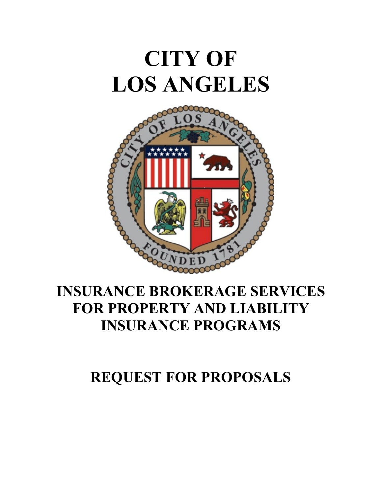# **CITY OF LOS ANGELES**



### **INSURANCE BROKERAGE SERVICES FOR PROPERTY AND LIABILITY INSURANCE PROGRAMS**

## **REQUEST FOR PROPOSALS**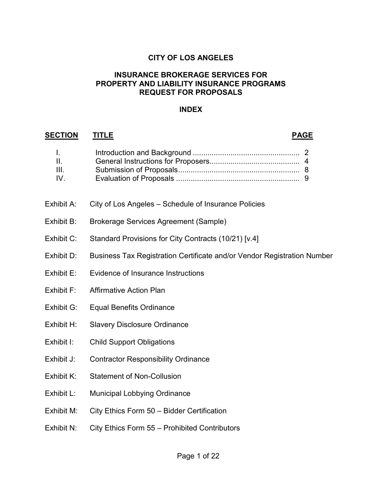#### **CITY OF LOS ANGELES**

#### **INSURANCE BROKERAGE SERVICES FOR PROPERTY AND LIABILITY INSURANCE PROGRAMS REQUEST FOR PROPOSALS**

#### **INDEX**

#### **SECTION TITLE PAGE**

| $\mathbf{L}$       |  |
|--------------------|--|
| $\mathbf{H}$       |  |
| $\mathbf{III}_{n}$ |  |
| $IV_{-}$           |  |
|                    |  |

- Exhibit A: City of Los Angeles Schedule of Insurance Policies
- Exhibit B: Brokerage Services Agreement (Sample)
- Exhibit C: Standard Provisions for City Contracts (10/21) [v.4]
- Exhibit D: Business Tax Registration Certificate and/or Vendor Registration Number
- Exhibit E: Evidence of Insurance Instructions
- Exhibit F: Affirmative Action Plan
- Exhibit G: Equal Benefits Ordinance
- Exhibit H: Slavery Disclosure Ordinance
- Exhibit I: Child Support Obligations
- Exhibit J: Contractor Responsibility Ordinance
- Exhibit K: Statement of Non-Collusion
- Exhibit L: Municipal Lobbying Ordinance
- Exhibit M: City Ethics Form 50 Bidder Certification
- Exhibit N: City Ethics Form 55 Prohibited Contributors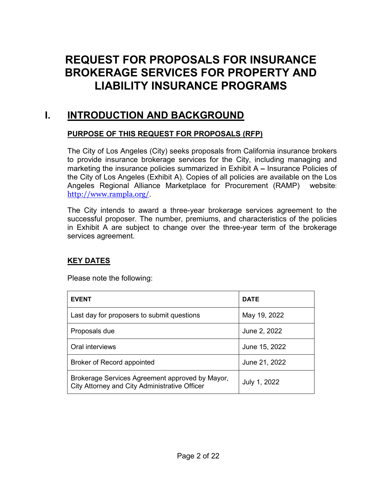### **REQUEST FOR PROPOSALS FOR INSURANCE BROKERAGE SERVICES FOR PROPERTY AND LIABILITY INSURANCE PROGRAMS**

#### **I. INTRODUCTION AND BACKGROUND**

#### **PURPOSE OF THIS REQUEST FOR PROPOSALS (RFP)**

The City of Los Angeles (City) seeks proposals from California insurance brokers to provide insurance brokerage services for the City, including managing and marketing the insurance policies summarized in Exhibit A **–** Insurance Policies of the City of Los Angeles (Exhibit A). Copies of all policies are available on the Los Angeles Regional Alliance Marketplace for Procurement (RAMP) website: <http://www.rampla.org/>.

The City intends to award a three-year brokerage services agreement to the successful proposer. The number, premiums, and characteristics of the policies in Exhibit A are subject to change over the three-year term of the brokerage services agreement.

#### **KEY DATES**

Please note the following:

| <b>EVENT</b>                                                                                     | <b>DATE</b>   |
|--------------------------------------------------------------------------------------------------|---------------|
| Last day for proposers to submit questions                                                       | May 19, 2022  |
| Proposals due                                                                                    | June 2, 2022  |
| Oral interviews                                                                                  | June 15, 2022 |
| Broker of Record appointed                                                                       | June 21, 2022 |
| Brokerage Services Agreement approved by Mayor,<br>City Attorney and City Administrative Officer | July 1, 2022  |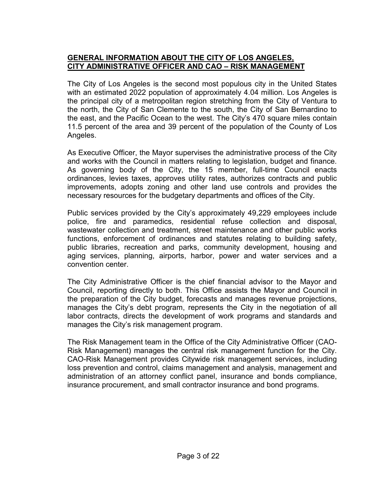#### **GENERAL INFORMATION ABOUT THE CITY OF LOS ANGELES, CITY ADMINISTRATIVE OFFICER AND CAO – RISK MANAGEMENT**

The City of Los Angeles is the second most populous city in the United States with an estimated 2022 population of approximately 4.04 million. Los Angeles is the principal city of a metropolitan region stretching from the City of Ventura to the north, the City of San Clemente to the south, the City of San Bernardino to the east, and the Pacific Ocean to the west. The City's 470 square miles contain 11.5 percent of the area and 39 percent of the population of the County of Los Angeles.

As Executive Officer, the Mayor supervises the administrative process of the City and works with the Council in matters relating to legislation, budget and finance. As governing body of the City, the 15 member, full-time Council enacts ordinances, levies taxes, approves utility rates, authorizes contracts and public improvements, adopts zoning and other land use controls and provides the necessary resources for the budgetary departments and offices of the City.

Public services provided by the City's approximately 49,229 employees include police, fire and paramedics, residential refuse collection and disposal, wastewater collection and treatment, street maintenance and other public works functions, enforcement of ordinances and statutes relating to building safety, public libraries, recreation and parks, community development, housing and aging services, planning, airports, harbor, power and water services and a convention center.

The City Administrative Officer is the chief financial advisor to the Mayor and Council, reporting directly to both. This Office assists the Mayor and Council in the preparation of the City budget, forecasts and manages revenue projections, manages the City's debt program, represents the City in the negotiation of all labor contracts, directs the development of work programs and standards and manages the City's risk management program.

The Risk Management team in the Office of the City Administrative Officer (CAO-Risk Management) manages the central risk management function for the City. CAO-Risk Management provides Citywide risk management services, including loss prevention and control, claims management and analysis, management and administration of an attorney conflict panel, insurance and bonds compliance, insurance procurement, and small contractor insurance and bond programs.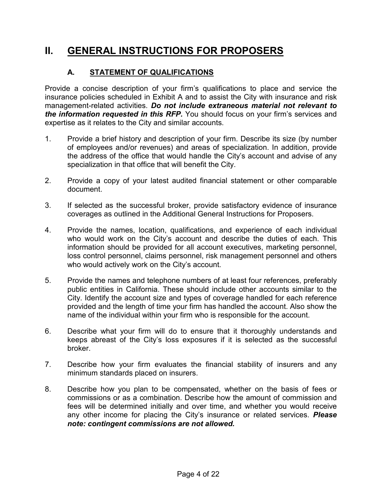### **II. GENERAL INSTRUCTIONS FOR PROPOSERS**

#### **A. STATEMENT OF QUALIFICATIONS**

Provide a concise description of your firm's qualifications to place and service the insurance policies scheduled in Exhibit A and to assist the City with insurance and risk management-related activities. *Do not include extraneous material not relevant to the information requested in this RFP.* You should focus on your firm's services and expertise as it relates to the City and similar accounts.

- 1. Provide a brief history and description of your firm. Describe its size (by number of employees and/or revenues) and areas of specialization. In addition, provide the address of the office that would handle the City's account and advise of any specialization in that office that will benefit the City.
- 2. Provide a copy of your latest audited financial statement or other comparable document.
- 3. If selected as the successful broker, provide satisfactory evidence of insurance coverages as outlined in the Additional General Instructions for Proposers.
- 4. Provide the names, location, qualifications, and experience of each individual who would work on the City's account and describe the duties of each. This information should be provided for all account executives, marketing personnel, loss control personnel, claims personnel, risk management personnel and others who would actively work on the City's account.
- 5. Provide the names and telephone numbers of at least four references, preferably public entities in California. These should include other accounts similar to the City. Identify the account size and types of coverage handled for each reference provided and the length of time your firm has handled the account. Also show the name of the individual within your firm who is responsible for the account.
- 6. Describe what your firm will do to ensure that it thoroughly understands and keeps abreast of the City's loss exposures if it is selected as the successful broker.
- 7. Describe how your firm evaluates the financial stability of insurers and any minimum standards placed on insurers.
- 8. Describe how you plan to be compensated, whether on the basis of fees or commissions or as a combination. Describe how the amount of commission and fees will be determined initially and over time, and whether you would receive any other income for placing the City's insurance or related services. *Please note: contingent commissions are not allowed.*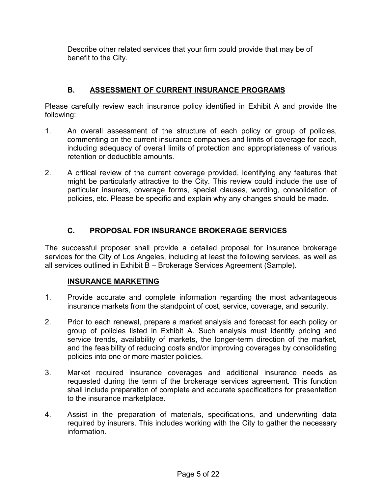Describe other related services that your firm could provide that may be of benefit to the City.

#### **B. ASSESSMENT OF CURRENT INSURANCE PROGRAMS**

Please carefully review each insurance policy identified in Exhibit A and provide the following:

- 1. An overall assessment of the structure of each policy or group of policies, commenting on the current insurance companies and limits of coverage for each, including adequacy of overall limits of protection and appropriateness of various retention or deductible amounts.
- 2. A critical review of the current coverage provided, identifying any features that might be particularly attractive to the City. This review could include the use of particular insurers, coverage forms, special clauses, wording, consolidation of policies, etc. Please be specific and explain why any changes should be made.

#### **C. PROPOSAL FOR INSURANCE BROKERAGE SERVICES**

The successful proposer shall provide a detailed proposal for insurance brokerage services for the City of Los Angeles, including at least the following services, as well as all services outlined in Exhibit B – Brokerage Services Agreement (Sample).

#### **INSURANCE MARKETING**

- 1. Provide accurate and complete information regarding the most advantageous insurance markets from the standpoint of cost, service, coverage, and security.
- 2. Prior to each renewal, prepare a market analysis and forecast for each policy or group of policies listed in Exhibit A. Such analysis must identify pricing and service trends, availability of markets, the longer-term direction of the market, and the feasibility of reducing costs and/or improving coverages by consolidating policies into one or more master policies.
- 3. Market required insurance coverages and additional insurance needs as requested during the term of the brokerage services agreement. This function shall include preparation of complete and accurate specifications for presentation to the insurance marketplace.
- 4. Assist in the preparation of materials, specifications, and underwriting data required by insurers. This includes working with the City to gather the necessary information.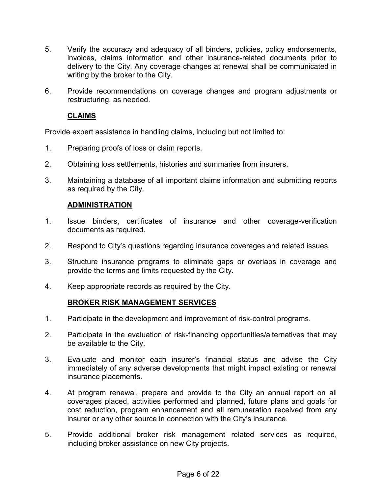- 5. Verify the accuracy and adequacy of all binders, policies, policy endorsements, invoices, claims information and other insurance-related documents prior to delivery to the City. Any coverage changes at renewal shall be communicated in writing by the broker to the City.
- 6. Provide recommendations on coverage changes and program adjustments or restructuring, as needed.

#### **CLAIMS**

Provide expert assistance in handling claims, including but not limited to:

- 1. Preparing proofs of loss or claim reports.
- 2. Obtaining loss settlements, histories and summaries from insurers.
- 3. Maintaining a database of all important claims information and submitting reports as required by the City.

#### **ADMINISTRATION**

- 1. Issue binders, certificates of insurance and other coverage-verification documents as required.
- 2. Respond to City's questions regarding insurance coverages and related issues.
- 3. Structure insurance programs to eliminate gaps or overlaps in coverage and provide the terms and limits requested by the City.
- 4. Keep appropriate records as required by the City.

#### **BROKER RISK MANAGEMENT SERVICES**

- 1. Participate in the development and improvement of risk-control programs.
- 2. Participate in the evaluation of risk-financing opportunities/alternatives that may be available to the City.
- 3. Evaluate and monitor each insurer's financial status and advise the City immediately of any adverse developments that might impact existing or renewal insurance placements.
- 4. At program renewal, prepare and provide to the City an annual report on all coverages placed, activities performed and planned, future plans and goals for cost reduction, program enhancement and all remuneration received from any insurer or any other source in connection with the City's insurance.
- 5. Provide additional broker risk management related services as required, including broker assistance on new City projects.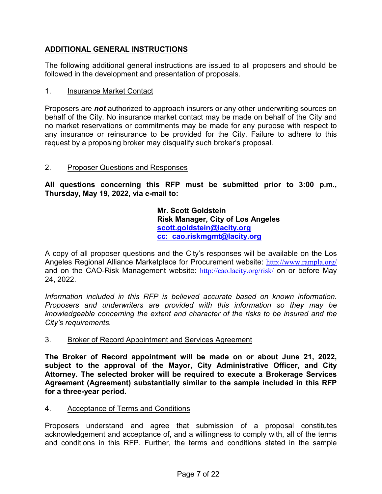#### **ADDITIONAL GENERAL INSTRUCTIONS**

The following additional general instructions are issued to all proposers and should be followed in the development and presentation of proposals.

#### 1. Insurance Market Contact

Proposers are *not* authorized to approach insurers or any other underwriting sources on behalf of the City. No insurance market contact may be made on behalf of the City and no market reservations or commitments may be made for any purpose with respect to any insurance or reinsurance to be provided for the City. Failure to adhere to this request by a proposing broker may disqualify such broker's proposal.

#### 2. Proposer Questions and Responses

**All questions concerning this RFP must be submitted prior to 3:00 p.m., Thursday, May 19, 2022, via e-mail to:**

> **Mr. Scott Goldstein Risk Manager, City of Los Angeles [scott.goldstein@lacity.org](mailto:scott.goldstein@lacity.org) cc: cao.riskmgmt@lacity.org**

A copy of all proposer questions and the City's responses will be available on the Los Angeles Regional Alliance Marketplace for Procurement website: [http://www.rampla.org/](http://www.laramp.org/) and on the CAO-Risk Management website: <http://cao.lacity.org/risk/> on or before May 24, 2022.

*Information included in this RFP is believed accurate based on known information. Proposers and underwriters are provided with this information so they may be knowledgeable concerning the extent and character of the risks to be insured and the City's requirements.*

#### 3. Broker of Record Appointment and Services Agreement

**The Broker of Record appointment will be made on or about June 21, 2022, subject to the approval of the Mayor, City Administrative Officer, and City Attorney. The selected broker will be required to execute a Brokerage Services Agreement (Agreement) substantially similar to the sample included in this RFP for a three-year period.**

4. Acceptance of Terms and Conditions

Proposers understand and agree that submission of a proposal constitutes acknowledgement and acceptance of, and a willingness to comply with, all of the terms and conditions in this RFP. Further, the terms and conditions stated in the sample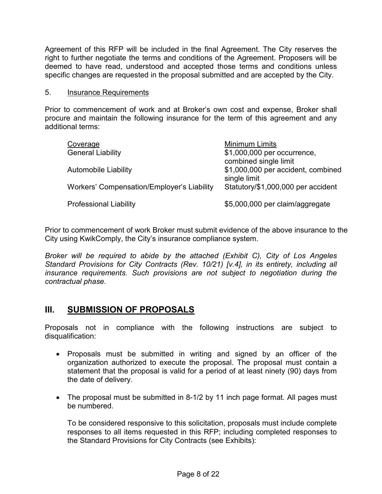Agreement of this RFP will be included in the final Agreement. The City reserves the right to further negotiate the terms and conditions of the Agreement. Proposers will be deemed to have read, understood and accepted those terms and conditions unless specific changes are requested in the proposal submitted and are accepted by the City.

#### 5. Insurance Requirements

Prior to commencement of work and at Broker's own cost and expense, Broker shall procure and maintain the following insurance for the term of this agreement and any additional terms:

| Coverage<br><b>General Liability</b>       | Minimum Limits<br>\$1,000,000 per occurrence,<br>combined single limit |
|--------------------------------------------|------------------------------------------------------------------------|
| <b>Automobile Liability</b>                | \$1,000,000 per accident, combined<br>single limit                     |
| Workers' Compensation/Employer's Liability | Statutory/\$1,000,000 per accident                                     |
| <b>Professional Liability</b>              | \$5,000,000 per claim/aggregate                                        |

Prior to commencement of work Broker must submit evidence of the above insurance to the City using KwikComply, the City's insurance compliance system.

*Broker will be required to abide by the attached (Exhibit C), City of Los Angeles Standard Provisions for City Contracts (Rev. 10/21) [v.4], in its entirety, including all insurance requirements. Such provisions are not subject to negotiation during the contractual phase.*

#### **III. SUBMISSION OF PROPOSALS**

Proposals not in compliance with the following instructions are subject to disqualification:

- Proposals must be submitted in writing and signed by an officer of the organization authorized to execute the proposal. The proposal must contain a statement that the proposal is valid for a period of at least ninety (90) days from the date of delivery.
- The proposal must be submitted in 8-1/2 by 11 inch page format. All pages must be numbered.

To be considered responsive to this solicitation, proposals must include complete responses to all items requested in this RFP; including completed responses to the Standard Provisions for City Contracts (see Exhibits):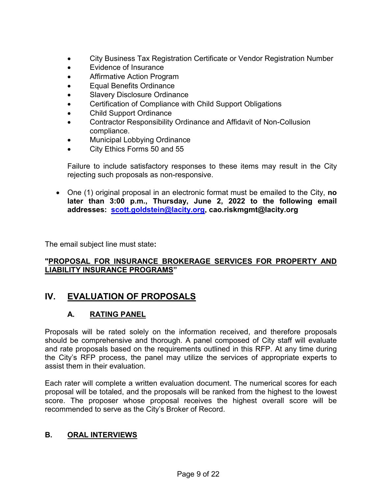- City Business Tax Registration Certificate or Vendor Registration Number
- Evidence of Insurance
- Affirmative Action Program
- Equal Benefits Ordinance
- **Slavery Disclosure Ordinance**
- Certification of Compliance with Child Support Obligations
- Child Support Ordinance
- Contractor Responsibility Ordinance and Affidavit of Non-Collusion compliance.
- Municipal Lobbying Ordinance
- City Ethics Forms 50 and 55

Failure to include satisfactory responses to these items may result in the City rejecting such proposals as non-responsive.

• One (1) original proposal in an electronic format must be emailed to the City, **no later than 3:00 p.m., Thursday, June 2, 2022 to the following email addresses: [scott.goldstein@lacity.org,](mailto:scott.goldstein@lacity.org) cao.riskmgmt@lacity.org**

The email subject line must state**:**

#### **"PROPOSAL FOR INSURANCE BROKERAGE SERVICES FOR PROPERTY AND LIABILITY INSURANCE PROGRAMS"**

#### **IV. EVALUATION OF PROPOSALS**

#### **A. RATING PANEL**

Proposals will be rated solely on the information received, and therefore proposals should be comprehensive and thorough. A panel composed of City staff will evaluate and rate proposals based on the requirements outlined in this RFP. At any time during the City's RFP process, the panel may utilize the services of appropriate experts to assist them in their evaluation.

Each rater will complete a written evaluation document. The numerical scores for each proposal will be totaled, and the proposals will be ranked from the highest to the lowest score. The proposer whose proposal receives the highest overall score will be recommended to serve as the City's Broker of Record.

#### **B. ORAL INTERVIEWS**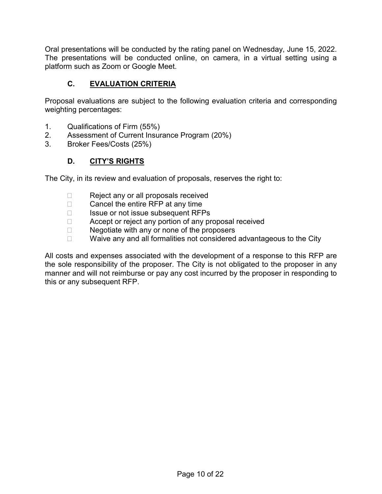Oral presentations will be conducted by the rating panel on Wednesday, June 15, 2022. The presentations will be conducted online, on camera, in a virtual setting using a platform such as Zoom or Google Meet.

#### **C. EVALUATION CRITERIA**

Proposal evaluations are subject to the following evaluation criteria and corresponding weighting percentages:

- 1. Qualifications of Firm (55%)
- 2. Assessment of Current Insurance Program (20%)
- 3. Broker Fees/Costs (25%)

#### **D. CITY'S RIGHTS**

The City, in its review and evaluation of proposals, reserves the right to:

- $\Box$  Reject any or all proposals received<br> $\Box$  Cancel the entire RFP at any time
- $\Box$  Cancel the entire RFP at any time
- $\Box$  Issue or not issue subsequent RFPs<br> $\Box$  Accept or reject any portion of any pr
- $\Box$  Accept or reject any portion of any proposal received  $\Box$  Negotiate with any or none of the proposers
- Negotiate with any or none of the proposers
- $\Box$  Waive any and all formalities not considered advantageous to the City

All costs and expenses associated with the development of a response to this RFP are the sole responsibility of the proposer. The City is not obligated to the proposer in any manner and will not reimburse or pay any cost incurred by the proposer in responding to this or any subsequent RFP.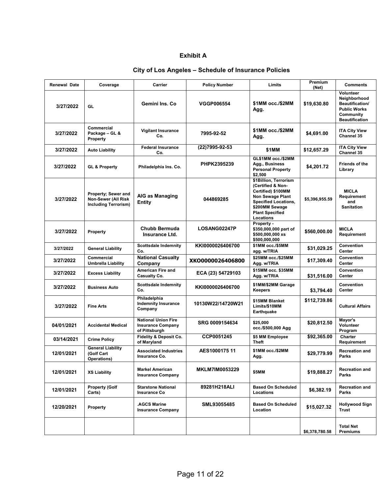#### **Exhibit A**

#### **City of Los Angeles – Schedule of Insurance Policies**

| <b>Renewal Date</b> | Coverage                                                                  | <b>Carrier</b>                                                          | <b>Policy Number</b>  | Limits                                                                                                                                                                              | Premium<br>(Net) | <b>Comments</b>                                                                                                  |
|---------------------|---------------------------------------------------------------------------|-------------------------------------------------------------------------|-----------------------|-------------------------------------------------------------------------------------------------------------------------------------------------------------------------------------|------------------|------------------------------------------------------------------------------------------------------------------|
| 3/27/2022           | GL                                                                        | Gemini Ins. Co                                                          | <b>VGGP006554</b>     | \$1MM occ./\$2MM<br>Agg.                                                                                                                                                            | \$19,630.80      | Volunteer<br>Neighborhood<br><b>Beautification/</b><br><b>Public Works</b><br>Community<br><b>Beautification</b> |
| 3/27/2022           | Commercial<br>Package - GL &<br>Property                                  | <b>Vigilant Insurance</b><br>Co.                                        | 7995-92-52            | \$1MM occ./\$2MM<br>Agg.                                                                                                                                                            | \$4,691.00       | <b>ITA City View</b><br>Channel 35                                                                               |
| 3/27/2022           | <b>Auto Liability</b>                                                     | <b>Federal Insurance</b><br>Co.                                         | (22)7995-92-53        | \$1MM                                                                                                                                                                               | \$12,657.29      | <b>ITA City View</b><br>Channel 35                                                                               |
| 3/27/2022           | <b>GL &amp; Property</b>                                                  | Philadelphia Ins. Co.                                                   | PHPK2395239           | GL\$1MM occ./\$2MM<br>Agg., Business<br><b>Personal Property</b><br>\$2,500                                                                                                         | \$4,201.72       | Friends of the<br>Library                                                                                        |
| 3/27/2022           | Property; Sewer and<br>Non-Sewer (All Risk<br><b>Including Terrorism)</b> | AIG as Managing<br><b>Entity</b>                                        | 044869285             | \$1Billion, Terrorism<br>(Certified & Non-<br>Certified) \$100MM<br><b>Non Sewage Plant</b><br><b>Specified Locations,</b><br>\$200MM Sewage<br><b>Plant Specified</b><br>Locations | \$5,396,955.59   | <b>MICLA</b><br>Requirement<br>and<br><b>Sanitation</b>                                                          |
| 3/27/2022           | Property                                                                  | <b>Chubb Bermuda</b><br>Insurance Ltd.                                  | LOSANG02247P          | Property -<br>\$350,000,000 part of<br>\$500,000,000 xs<br>\$500,000,000                                                                                                            | \$560,000.00     | MICLA<br>Requirement                                                                                             |
| 3/27/2022           | <b>General Liability</b>                                                  | <b>Scottsdale Indemnity</b><br>Co.                                      | KKI0000026406700      | \$1MM occ./\$5MM<br>agg. w/TRIA                                                                                                                                                     | \$31,029.25      | Convention<br>Center                                                                                             |
| 3/27/2022           | <b>Commercial</b><br><b>Umbrella Liability</b>                            | <b>National Casualty</b><br>Company                                     | XKO0000026406800      | \$25MM occ./\$25MM<br>Agg. w/TRIA                                                                                                                                                   | \$17,309.40      | Convention<br>Center                                                                                             |
| 3/27/2022           | <b>Excess Liability</b>                                                   | American Fire and<br><b>Casualty Co.</b>                                | ECA (23) 54729103     | \$15MM occ. \$35MM<br>Agg. w/TRIA                                                                                                                                                   | \$31,516.00      | Convention<br>Center                                                                                             |
| 3/27/2022           | <b>Business Auto</b>                                                      | <b>Scottsdale Indemnity</b><br>Co.                                      | KKI0000026406700      | \$1MM/\$2MM Garage<br>Keepers                                                                                                                                                       | \$3,794.40       | Convention<br>Center                                                                                             |
| 3/27/2022           | <b>Fine Arts</b>                                                          | Philadelphia<br><b>Indemnity Insurance</b><br>Company                   | 10130W22/14720W21     | \$15MM Blanket<br>Limits/\$10MM<br>Earthquake                                                                                                                                       | \$112,739.86     | <b>Cultural Affairs</b>                                                                                          |
| 04/01/2021          | <b>Accidental Medical</b>                                                 | <b>National Union Fire</b><br><b>Insurance Company</b><br>of Pittsburgh | SRG 0009154634        | \$25,000<br>occ./\$500,000 Agg                                                                                                                                                      | \$20,812.50      | Mayor's<br>Volunteer<br>Program                                                                                  |
| 03/14/2021          | <b>Crime Policy</b>                                                       | Fidelity & Deposit Co.<br>of Maryland                                   | CCP0051245            | \$5 MM Employee<br>Theft                                                                                                                                                            | \$92,365.00      | Charter<br>Requirement                                                                                           |
| 12/01/2021          | <b>General Liability</b><br>(Golf Cart<br>Operations)                     | <b>Associated Industries</b><br>Insurance Co.                           | AES1000175 11         | \$1MM occ./\$2MM<br>Agg.                                                                                                                                                            | \$29,779.99      | <b>Recreation and</b><br>Parks                                                                                   |
| 12/01/2021          | <b>XS Liability</b>                                                       | <b>Markel American</b><br><b>Insurance Company</b>                      | <b>MKLM7IM0053229</b> | \$5MM                                                                                                                                                                               | \$19,888.27      | <b>Recreation and</b><br>Parks                                                                                   |
| 12/01/2021          | <b>Property (Golf</b><br>Carts)                                           | <b>Starstone National</b><br><b>Insurance Co</b>                        | 89281H218ALI          | <b>Based On Scheduled</b><br>Locations                                                                                                                                              | \$6,382.19       | <b>Recreation and</b><br>Parks                                                                                   |
| 12/20/2021          | Property                                                                  | <b>.AGCS Marine</b><br><b>Insurance Company</b>                         | SML93055485           | <b>Based On Scheduled</b><br>Location                                                                                                                                               | \$15,027.32      | Hollywood Sign<br><b>Trust</b>                                                                                   |
|                     |                                                                           |                                                                         |                       |                                                                                                                                                                                     | \$6,378,780.58   | <b>Total Net</b><br><b>Premiums</b>                                                                              |
|                     |                                                                           |                                                                         |                       |                                                                                                                                                                                     |                  |                                                                                                                  |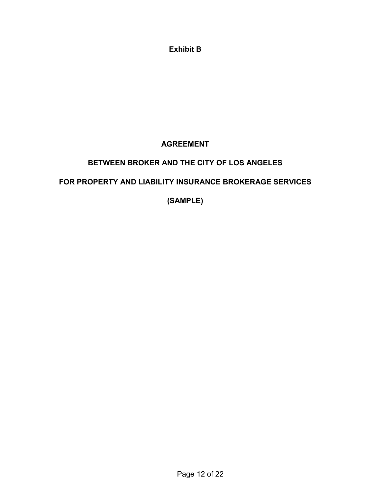**Exhibit B**

#### **AGREEMENT**

#### **BETWEEN BROKER AND THE CITY OF LOS ANGELES**

#### **FOR PROPERTY AND LIABILITY INSURANCE BROKERAGE SERVICES**

**(SAMPLE)**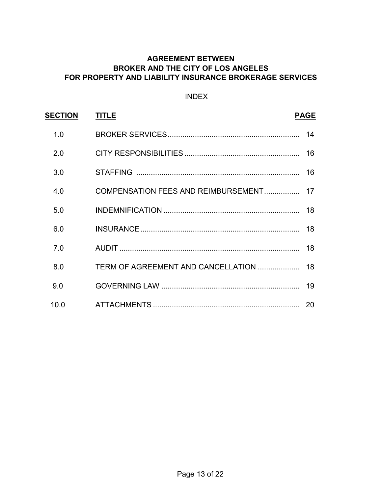#### **AGREEMENT BETWEEN BROKER AND THE CITY OF LOS ANGELES FOR PROPERTY AND LIABILITY INSURANCE BROKERAGE SERVICES**

#### INDEX

| <b>SECTION</b> | <b>TITLE</b> | <b>PAGE</b> |
|----------------|--------------|-------------|
| 1.0            |              |             |
| 2.0            |              |             |
| 3.0            |              |             |
| 4.0            |              |             |
| 5.0            |              |             |
| 6.0            |              |             |
| 7.0            |              | 18          |
| 8.0            |              |             |
| 9.0            |              | 19          |
| 10.0           |              | 20          |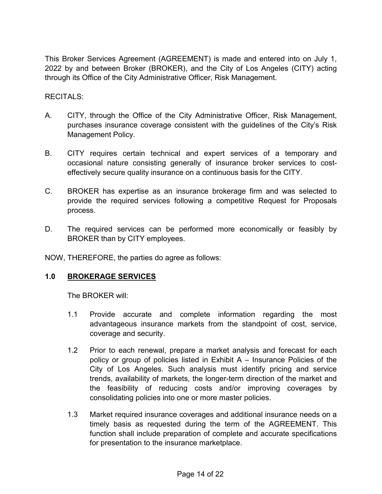This Broker Services Agreement (AGREEMENT) is made and entered into on July 1, 2022 by and between Broker (BROKER), and the City of Los Angeles (CITY) acting through its Office of the City Administrative Officer, Risk Management.

#### RECITALS:

- A. CITY, through the Office of the City Administrative Officer, Risk Management, purchases insurance coverage consistent with the guidelines of the City's Risk Management Policy.
- B. CITY requires certain technical and expert services of a temporary and occasional nature consisting generally of insurance broker services to costeffectively secure quality insurance on a continuous basis for the CITY.
- C. BROKER has expertise as an insurance brokerage firm and was selected to provide the required services following a competitive Request for Proposals process.
- D. The required services can be performed more economically or feasibly by BROKER than by CITY employees.

NOW, THEREFORE, the parties do agree as follows:

#### **1.0 BROKERAGE SERVICES**

The BROKER will:

- 1.1 Provide accurate and complete information regarding the most advantageous insurance markets from the standpoint of cost, service, coverage and security.
- 1.2 Prior to each renewal, prepare a market analysis and forecast for each policy or group of policies listed in Exhibit A – Insurance Policies of the City of Los Angeles. Such analysis must identify pricing and service trends, availability of markets, the longer-term direction of the market and the feasibility of reducing costs and/or improving coverages by consolidating policies into one or more master policies.
- 1.3 Market required insurance coverages and additional insurance needs on a timely basis as requested during the term of the AGREEMENT. This function shall include preparation of complete and accurate specifications for presentation to the insurance marketplace.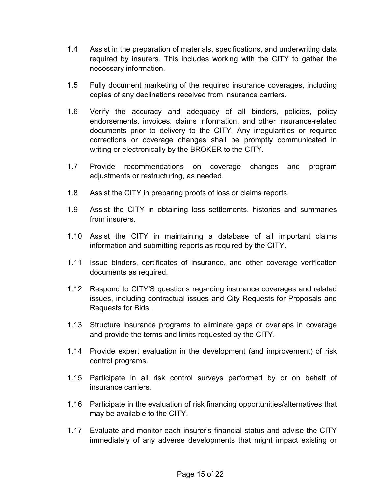- 1.4 Assist in the preparation of materials, specifications, and underwriting data required by insurers. This includes working with the CITY to gather the necessary information.
- 1.5 Fully document marketing of the required insurance coverages, including copies of any declinations received from insurance carriers.
- 1.6 Verify the accuracy and adequacy of all binders, policies, policy endorsements, invoices, claims information, and other insurance-related documents prior to delivery to the CITY. Any irregularities or required corrections or coverage changes shall be promptly communicated in writing or electronically by the BROKER to the CITY.
- 1.7 Provide recommendations on coverage changes and program adjustments or restructuring, as needed.
- 1.8 Assist the CITY in preparing proofs of loss or claims reports.
- 1.9 Assist the CITY in obtaining loss settlements, histories and summaries from insurers.
- 1.10 Assist the CITY in maintaining a database of all important claims information and submitting reports as required by the CITY.
- 1.11 Issue binders, certificates of insurance, and other coverage verification documents as required.
- 1.12 Respond to CITY'S questions regarding insurance coverages and related issues, including contractual issues and City Requests for Proposals and Requests for Bids.
- 1.13 Structure insurance programs to eliminate gaps or overlaps in coverage and provide the terms and limits requested by the CITY.
- 1.14 Provide expert evaluation in the development (and improvement) of risk control programs.
- 1.15 Participate in all risk control surveys performed by or on behalf of insurance carriers.
- 1.16 Participate in the evaluation of risk financing opportunities/alternatives that may be available to the CITY.
- 1.17 Evaluate and monitor each insurer's financial status and advise the CITY immediately of any adverse developments that might impact existing or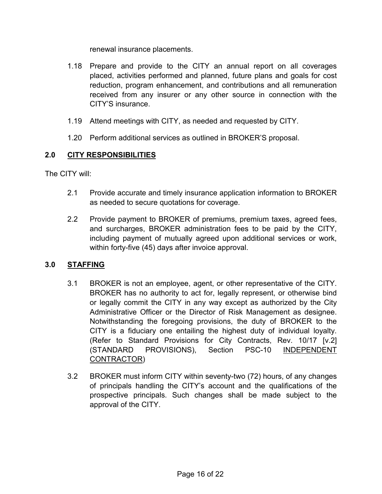renewal insurance placements.

- 1.18 Prepare and provide to the CITY an annual report on all coverages placed, activities performed and planned, future plans and goals for cost reduction, program enhancement, and contributions and all remuneration received from any insurer or any other source in connection with the CITY'S insurance.
- 1.19 Attend meetings with CITY, as needed and requested by CITY.
- 1.20 Perform additional services as outlined in BROKER'S proposal.

#### **2.0 CITY RESPONSIBILITIES**

The CITY will:

- 2.1 Provide accurate and timely insurance application information to BROKER as needed to secure quotations for coverage.
- 2.2 Provide payment to BROKER of premiums, premium taxes, agreed fees, and surcharges, BROKER administration fees to be paid by the CITY, including payment of mutually agreed upon additional services or work, within forty-five (45) days after invoice approval.

#### **3.0 STAFFING**

- 3.1 BROKER is not an employee, agent, or other representative of the CITY. BROKER has no authority to act for, legally represent, or otherwise bind or legally commit the CITY in any way except as authorized by the City Administrative Officer or the Director of Risk Management as designee. Notwithstanding the foregoing provisions, the duty of BROKER to the CITY is a fiduciary one entailing the highest duty of individual loyalty. (Refer to Standard Provisions for City Contracts, Rev. 10/17 [v.2] (STANDARD PROVISIONS), Section PSC-10 INDEPENDENT CONTRACTOR)
- 3.2 BROKER must inform CITY within seventy-two (72) hours, of any changes of principals handling the CITY's account and the qualifications of the prospective principals. Such changes shall be made subject to the approval of the CITY.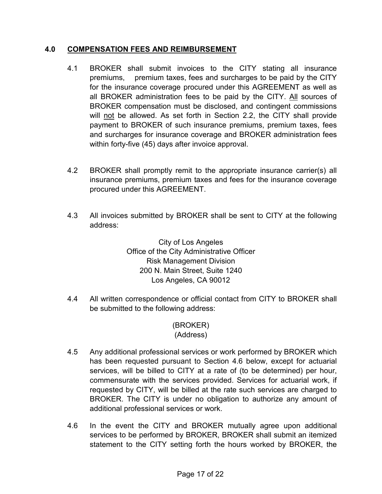#### **4.0 COMPENSATION FEES AND REIMBURSEMENT**

- 4.1 BROKER shall submit invoices to the CITY stating all insurance premiums, premium taxes, fees and surcharges to be paid by the CITY for the insurance coverage procured under this AGREEMENT as well as all BROKER administration fees to be paid by the CITY. All sources of BROKER compensation must be disclosed, and contingent commissions will not be allowed. As set forth in Section 2.2, the CITY shall provide payment to BROKER of such insurance premiums, premium taxes, fees and surcharges for insurance coverage and BROKER administration fees within forty-five (45) days after invoice approval.
- 4.2 BROKER shall promptly remit to the appropriate insurance carrier(s) all insurance premiums, premium taxes and fees for the insurance coverage procured under this AGREEMENT.
- 4.3 All invoices submitted by BROKER shall be sent to CITY at the following address:

City of Los Angeles Office of the City Administrative Officer Risk Management Division 200 N. Main Street, Suite 1240 Los Angeles, CA 90012

4.4 All written correspondence or official contact from CITY to BROKER shall be submitted to the following address:

#### (BROKER) (Address)

- 4.5 Any additional professional services or work performed by BROKER which has been requested pursuant to Section 4.6 below, except for actuarial services, will be billed to CITY at a rate of (to be determined) per hour, commensurate with the services provided. Services for actuarial work, if requested by CITY, will be billed at the rate such services are charged to BROKER. The CITY is under no obligation to authorize any amount of additional professional services or work.
- 4.6 In the event the CITY and BROKER mutually agree upon additional services to be performed by BROKER, BROKER shall submit an itemized statement to the CITY setting forth the hours worked by BROKER, the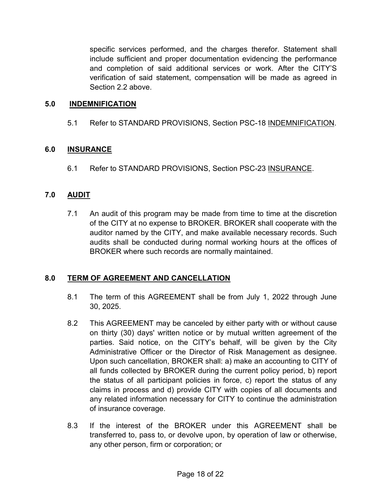specific services performed, and the charges therefor. Statement shall include sufficient and proper documentation evidencing the performance and completion of said additional services or work. After the CITY'S verification of said statement, compensation will be made as agreed in Section 2.2 above.

#### **5.0 INDEMNIFICATION**

5.1 Refer to STANDARD PROVISIONS, Section PSC-18 INDEMNIFICATION.

#### **6.0 INSURANCE**

6.1 Refer to STANDARD PROVISIONS, Section PSC-23 INSURANCE.

#### **7.0 AUDIT**

7.1 An audit of this program may be made from time to time at the discretion of the CITY at no expense to BROKER. BROKER shall cooperate with the auditor named by the CITY, and make available necessary records. Such audits shall be conducted during normal working hours at the offices of BROKER where such records are normally maintained.

#### **8.0 TERM OF AGREEMENT AND CANCELLATION**

- 8.1 The term of this AGREEMENT shall be from July 1, 2022 through June 30, 2025.
- 8.2 This AGREEMENT may be canceled by either party with or without cause on thirty (30) days' written notice or by mutual written agreement of the parties. Said notice, on the CITY's behalf, will be given by the City Administrative Officer or the Director of Risk Management as designee. Upon such cancellation, BROKER shall: a) make an accounting to CITY of all funds collected by BROKER during the current policy period, b) report the status of all participant policies in force, c) report the status of any claims in process and d) provide CITY with copies of all documents and any related information necessary for CITY to continue the administration of insurance coverage.
- 8.3 If the interest of the BROKER under this AGREEMENT shall be transferred to, pass to, or devolve upon, by operation of law or otherwise, any other person, firm or corporation; or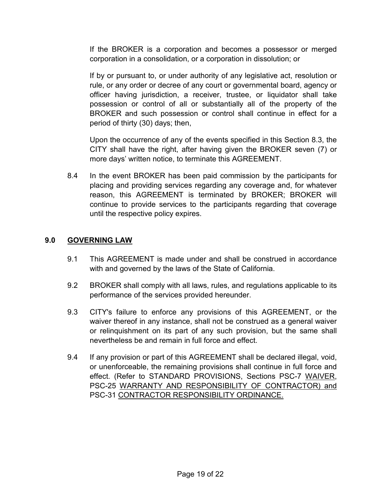If the BROKER is a corporation and becomes a possessor or merged corporation in a consolidation, or a corporation in dissolution; or

If by or pursuant to, or under authority of any legislative act, resolution or rule, or any order or decree of any court or governmental board, agency or officer having jurisdiction, a receiver, trustee, or liquidator shall take possession or control of all or substantially all of the property of the BROKER and such possession or control shall continue in effect for a period of thirty (30) days; then,

Upon the occurrence of any of the events specified in this Section 8.3, the CITY shall have the right, after having given the BROKER seven (7) or more days' written notice, to terminate this AGREEMENT.

8.4 In the event BROKER has been paid commission by the participants for placing and providing services regarding any coverage and, for whatever reason, this AGREEMENT is terminated by BROKER; BROKER will continue to provide services to the participants regarding that coverage until the respective policy expires.

#### **9.0 GOVERNING LAW**

- 9.1 This AGREEMENT is made under and shall be construed in accordance with and governed by the laws of the State of California.
- 9.2 BROKER shall comply with all laws, rules, and regulations applicable to its performance of the services provided hereunder.
- 9.3 CITY's failure to enforce any provisions of this AGREEMENT, or the waiver thereof in any instance, shall not be construed as a general waiver or relinquishment on its part of any such provision, but the same shall nevertheless be and remain in full force and effect.
- 9.4 If any provision or part of this AGREEMENT shall be declared illegal, void, or unenforceable, the remaining provisions shall continue in full force and effect. (Refer to STANDARD PROVISIONS, Sections PSC-7 WAIVER, PSC-25 WARRANTY AND RESPONSIBILITY OF CONTRACTOR) and PSC-31 CONTRACTOR RESPONSIBILITY ORDINANCE.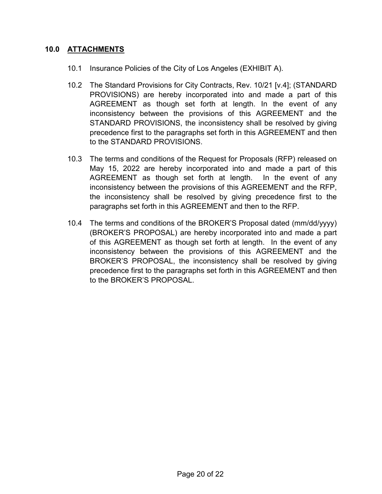#### **10.0 ATTACHMENTS**

- 10.1 Insurance Policies of the City of Los Angeles (EXHIBIT A).
- 10.2 The Standard Provisions for City Contracts, Rev. 10/21 [v.4]; (STANDARD PROVISIONS) are hereby incorporated into and made a part of this AGREEMENT as though set forth at length. In the event of any inconsistency between the provisions of this AGREEMENT and the STANDARD PROVISIONS, the inconsistency shall be resolved by giving precedence first to the paragraphs set forth in this AGREEMENT and then to the STANDARD PROVISIONS.
- 10.3 The terms and conditions of the Request for Proposals (RFP) released on May 15, 2022 are hereby incorporated into and made a part of this AGREEMENT as though set forth at length. In the event of any inconsistency between the provisions of this AGREEMENT and the RFP, the inconsistency shall be resolved by giving precedence first to the paragraphs set forth in this AGREEMENT and then to the RFP.
- 10.4 The terms and conditions of the BROKER'S Proposal dated (mm/dd/yyyy) (BROKER'S PROPOSAL) are hereby incorporated into and made a part of this AGREEMENT as though set forth at length. In the event of any inconsistency between the provisions of this AGREEMENT and the BROKER'S PROPOSAL, the inconsistency shall be resolved by giving precedence first to the paragraphs set forth in this AGREEMENT and then to the BROKER'S PROPOSAL.